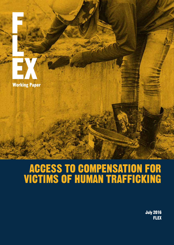

## ACCESS TO COMPENSATION FOR VICTIMS OF HUMAN TRAFFICKING

July 2016 **FLEX**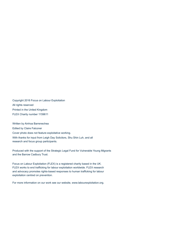Copyright 2016 Focus on Labour Exploitation All rights reserved Printed in the United Kingdom FLEX Charity number 1159611

Written by Ainhoa Barrenechea Edited by Claire Falconer Cover photo does not feature exploitative working. With thanks for input from Leigh Day Solicitors, Shu Shin Luh, and all research and focus group participants.

Produced with the support of the Strategic Legal Fund for Vulnerable Young Migrants and the Barrow Cadbury Trust.

Focus on Labour Exploitation (FLEX) is a registered charity based in the UK. FLEX works to end trafficking for labour exploitation worldwide. FLEX research and advocacy promotes rights-based responses to human trafficking for labour exploitation centred on prevention.

For more information on our work see our website, www.labourexploitation.org.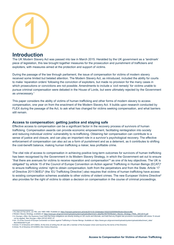

### **Introduction**

The UK Modern Slavery Act was passed into law in March 2015. Heralded by the UK government as a 'landmark' piece of legislation, this law brought together measures for the prosecution and punishment of traffickers and exploiters, with measures aimed at the protection and support of victims.

During the passage of the law through parliament, the issue of compensation for victims of modern slavery received some limited but belated attention. The Modern Slavery Act, as introduced, included the ability for courts to make 'reparation orders' following the conviction of exploiters, but made no provision for the many cases in which prosecutions or convictions are not possible. Amendments to include a 'civil remedy' for victims unable to pursue criminal compensation were debated in the House of Lords, but were ultimately rejected by the Government as unnecessary.1

This paper considers the ability of victims of human trafficking and other forms of modern slavery to access compensation, one year on from the enactment of the Modern Slavery Act. It builds upon research conducted by FLEX during the passage of the Act, to ask what has changed for victims seeking compensation, and what barriers still remain.

#### **Access to compensation: getting justice and staying safe**

Effective access to compensation can be a significant factor in the recovery process of survivors of human trafficking. Compensation awards can provide economic empowerment, facilitating reintegration into society and reducing individual victims' vulnerability to re-trafficking. Obtaining fair compensation can contribute to a sense of justice and closure, and can play an important role in a survivor's psychological recovery. The effective enforcement of compensation can also act as a form of punishment and as a deterrent, as it contributes to shifting the cost-benefit balance, making human trafficking a riskier, less profitable crime.

The vital role of access to compensation in achieving positive long-term outcomes for survivors of human trafficking has been recognised by the Government in its Modern Slavery Strategy, in which the Government set out to ensure "that there are avenues for victims to receive reparation and compensation"<sup>2</sup> as one of its key objectives. The UK is obligated<sup>3</sup> by article 15 of the Council of Europe Convention on Action against Trafficking in Human Beings (ECAT)<sup>4</sup> to ensure trafficking victims' right to obtain compensation, both from the perpetrators and from the State. Article 17 of Directive 2011/36/EU<sup>5</sup> (the 'EU Trafficking Directive') also requires that victims of human trafficking have access to existing compensation schemes available to other victims of violent crimes. The new European Victims Directive<sup>6</sup> also provides for the right of victims to obtain a decision on compensation in the course of criminal proceedings.

6 Article 16 of Directive 2012/29/EU (the Victims Directive).

<sup>1</sup> HL Deb 23 Feb 2015, vol 759, cols 1465-1466. Available at: https://hansard.parliament.uk/lords/2015-02-23/debates/15022332000694/ModernSlaveryBill.

<sup>2</sup> Modern Slavery Strategy, available at: https://www.gov.uk/government/uploads/system/uploads/attachment\_data/file/383764/Modern\_Slavery\_Strategy\_FINAL\_DEC2015.pdf. 3 In Hounga v Allen, the Supreme Court held that these obligations are directly binding on UK courts and tribunals, and held that any English law provisions incompatible with article 15 should not be applied. See *Hounga v Allen [2014] UKSC 47*.

<sup>4</sup> Art. 15 of the Council of Europe Convention on Action against Trafficking in Human Beings. Available at: *https://www.gov.uk/government/uploads/system/uploads/attachment\_data/ file/236093/8414.pdf*.

<sup>5</sup> Article 17 of Directive 2011/36/EU. At the time of writing the UK was still a member of the European Union and bound by the terms of the Directive.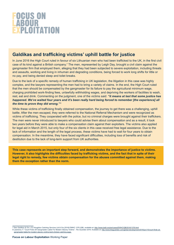## FOCUS ON<br>LABOUR<br>EXPLOITATION

## **Galdikas and trafficking victims' uphill battle for justice**

In June 2016 the High Court ruled in favour of six Lithuanian men who had been trafficked to the UK, in the first civil case of its kind against a British company.<sup>7</sup> The men, represented by Leigh Day, brought a civil claim against the gangmaster firm that employed them, alleging that they had been subjected to severe exploitation, including threats and assaults, working and living in inhuman and degrading conditions, being forced to work long shifts for little or no pay, and being denied sleep and toilet breaks.

Due to the lack of a specific remedy of human trafficking in UK legislation, the litigation in this case was highly complex, and the lawyers representing the men had to bring a variety of claims. In the end, the High Court ruled that the men should be compensated by the gangmaster for its failure to pay the agricultural minimum wage, charging prohibited work-finding fees, unlawfully withholding wages, and depriving the workers of facilities to wash, rest, eat and drink. Commenting on the judgment, one of the victims said: *"it means at last that some justice has happened. We've waited four years and it's been really hard being forced to remember [the experience] all the time to prove they did wrong."* <sup>8</sup>

While these victims of trafficking finally obtained compensation, the journey to get there was a challenging, uphill battle. After the men escaped, they were referred to the National Referral Mechanism and were recognized as victims of trafficking. They cooperated with the police, but no criminal charges were brought against their traffickers. The men were never introduced to lawyers who could advise them about compensation and as a result, it took two years before they were able to make a compensation claim against their exploiters. The victims also applied for legal aid in March 2015, but only four of the six clients in this case received free legal assistance. Due to the lack of information and the length of the legal process, these victims have had to wait for four years to obtain compensation. In the meantime, they have faced significant difficulties, including loss of benefits and risk of destitution due to the lack of long-term support from UK authorities.

**This case represents an important step forward, and demonstrates the importance of justice to victims. However, it also highlights the difficulties faced by trafficking victims, and the fact that in spite of their legal right to remedy, few victims obtain compensation for the abuses committed against them, making them the exception rather than the norm.**

<sup>7</sup> See *Galdikas & Ors v DJ Houghton Catching Services Ltd & Ors [2016] EWHC 1376 (QB)*, available at: http://www.bailii.org/ew/cases/EWHC/QB/2016/1376.html

<sup>8</sup> Lawrence, F. "Court Finds UK Gangmaster Liable For Modern Slavery Victims". *The Guardian* 2016. Available at: http://www.theguardian.com/global-development/2016/jun/10/court-finds-ukgangmaster-liable-for-modern-slavery-victims-kent-chicken-catching-eggs.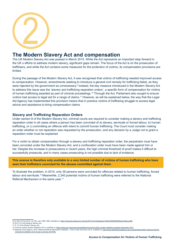

## **The Modern Slavery Act and compensation**

The UK Modern Slavery Act was passed in March 2015. While the Act represents an important step forward in the UK´s efforts to address modern slavery, significant gaps remain. The focus of the Act is on the prosecution of traffickers, and while the Act contains some measures for the protection of victims, its compensation provisions are limited.

During the passage of the Modern Slavery Act, it was recognised that victims of trafficking needed improved access to compensation. However, amendments seeking to introduce a general civil remedy for trafficking failed, as they were rejected by the government as unnecessary.<sup>9</sup> Instead, the key measure introduced in the Modern Slavery Act to address this issue was the 'slavery and trafficking reparation orders', a specific form of compensation for victims of human trafficking awarded as part of criminal proceedings.10 Through the Act, Parliament also sought to ensure victims had access to legal aid for a range of claims.11 However, as will be explained below, the way that the Legal Aid Agency has implemented this provision means that in practice victims of trafficking struggle to access legal advice and assistance to bring compensation claims.

#### **Slavery and Trafficking Reparation Orders**

Under section 8 of the Modern Slavery Act, criminal courts are required to consider making a slavery and trafficking reparation order in all cases where a person has been convicted of a) slavery, servitude or forced labour, b) human trafficking, or c) committing an offence with intent to commit human trafficking. The Court must consider making an order whether or not reparation was requested by the prosecution, and any decision by a Judge not to grant a reparation order must be explained.

For a victim to obtain compensation through a slavery and trafficking reparation order, the perpetrator must have been convicted under the Modern Slavery Act, and a confiscation order must have been made against him or her. Despite the increase in prosecutions in recent years, the high criminal threshold of proof makes it difficult to successfully prosecute, and in many cases prosecuting is not possible due to lack of evidence.

**This avenue is therefore only available to a very limited number of victims of human trafficking who have seen their traffickers convicted for the abuses committed against them.**

To illustrate the problem, in 2014, only 39 persons were convicted for offences related to human trafficking, forced labour and servitude.12 Meanwhile, 2,340 potential victims of human trafficking were referred to the National Referral Mechanism in the same year.<sup>13</sup>

<sup>9</sup> HL Deb 23 Feb 2015, vol 759, cols 1465-1466. Available at: https://hansard.parliament.uk/lords/2015-02-23/debates/15022332000694/ModernSlaveryBill.

<sup>10</sup> Ss 8-12 of the Modern Slavery Act.

<sup>11</sup> S. 47 of the Modern Slavery Act.

<sup>12</sup> Criminal Justice System Statistics 2014, available at: https://www.gov.uk/government/statistics/criminal-justice-system-statistics-quarterly-december-2014.

<sup>13</sup> National Crime Agency, 2015, National Referral Mechanism Statistics – End of Year Summary 2014, available at: http://www.nationalcrimeagency.gov.uk/publications/502-national-referralmechanism-statistics-end-of-year-summary-2014/file.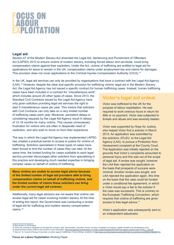## FOGUS ON<br>LABOUR<br>EXPLOITATION

#### **Legal aid**

Section 47 of the Modern Slavery Act amended the Legal Aid, Sentencing and Punishment of Offenders Act (LAPSO) 2012 to ensure victims of modern slavery, including forced labour and servitude, could bring compensation claims against their exploiters. Under the Act, victims of trafficking are entitled to legal aid for applications for leave to remain in the UK, compensation claims under employment law and claims for damages. This provision does not cover applications to the Criminal Injuries Compensation Authority (CICA).<sup>14</sup>

In the UK, legal aid services can only be provided by organisations that have a contract with the Legal Aid Agency (LAA).15 However, despite the clear and specific provision for trafficking victims' legal aid in the Modern Slavery Act, the Legal Aid Agency has not issued a specific contract for human trafficking cases. Instead, human trafficking

cases have been included in a contract for "miscellaneous work", which includes around 20 other types of cases. Since 2013, the Standard Civil Contracts issued by the Legal Aid Agency have only given solicitors providing legal aid services the right to start 5 miscellaneous cases per year. This means that solicitors with Civil Contracts can only take on a very limited number of trafficking cases each year. Moreover, persistent delays in considering requests by the Legal Aid Agency result in delays of 12-18 months for many victims. This causes unnecessary frustration for victims who are often in desperate need of restitution, and who wish to move on from their experience.

The way in which the Legal Aid Agency has implemented LAPSO has created a practical barrier to access to justice for victims of trafficking. Solicitors specialised in these types of cases have been forced to limit the number of cases they can take. At the same time, the limited funding for cases available to each legal service provider discourages other solicitors from specialising in this practice and developing much needed expertise in bringing complex cases on behalf of victims of trafficking.

**Many victims are unable to access legal advice because of the limited number of legal aid providers able to bring compensation claims on behalf of trafficking victims, and the limited number of claims these solicitors can bring under the current legal aid contract.** 

Additionally, many legal advisors are not aware that victims can access legal aid for cases involving modern slavery. At the time of writing this report, the Government was conducting a review of legal aid for trafficking and modern slavery compensation claims.16

### **Victor's legal aid ordeal**

Victor was trafficked to the UK for the purpose of labour exploitation. He was required to work onerous hours in return for little or no payment. Victor was subjected to threats and abuse and was severely beaten.

Victor was supported by Hope for Justice, who helped Victor find a solicitor in March 2013. An application was submitted by the solicitors, ATLEU, to the Legal Aid Agency (LAA), to pursue a Protection from Harassment complaint at the County Court. The Application was initially rejected on the grounds that Victor's complaints amounted to personal injury and this was out of the scope of legal aid. A review was sought, however the LAA then rejected the application on the basis that prospects of success were minimal. Another review was sought, and LAA rejected the application again, this time on the basis that the case could be funded under a conditional fee agreement, in which a Victor would pay a fee to the solicitor if the case was successful. This is contrary to the European Trafficking Convention, which requires that victims of trafficking are given access to free legal advice.<sup>17</sup>

Victor's application was subsequently sent to an independent adjudicator.

<sup>14</sup> See section on CICA below.

<sup>15</sup> There are currently 8 categories of civil legal aid contracts: debt, discrimination, education, family, housing, immigration and asylum, welfare benefits and miscellaneous work.

<sup>16</sup> Read the final consent order for the review for more information: <u>http://www.gardencourtchambers.co.uk/wp-content/uploads/2016/03/Final-signed-consent-order-ATLEU\_-LAA.pdf<br>17 See art. 15, Council of Europe Convention o</u>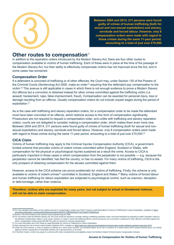

**Between 2004 and 2014, 211 persons were found guilty of crimes of human trafficking (both for sexual and non-sexual exploitation) and slavery, servitude and forced labour. However, only 8 compensation orders were made with regard to those crimes during to a total of just over £70,000**<br>**those crimes during to a total of just over**  $\frac{1}{2}$  **and forced labour. However, only 8**<br>**compensation orders were made with regard to**<br>those crimes during the same 1

### **Other routes to compensation<sup>8</sup>**

In addition to the reparation orders introduced by the Modern Slavery Act, there are four other routes to compensation available to victims of human trafficking. Each of these were in place at the time of the passage of the Modern Slavery Act, but their ability to effectively compensate victims has not improved since the Act, and in some cases has worsened:

#### **Compensation Order**

If a defendant is convicted of trafficking or of other offences, the Court may, under Section 130 of the Powers of the Criminal Courts (Sentencing) Act 2000, make an order<sup>19</sup> requiring that the defendant pay compensation to the victim.20 This avenue is still applicable in cases in which there is not enough evidence to prove a Modern Slavery Act offence but a conviction is obtained instead for other crimes committed against the trafficking victim (i.e. assault, harassment, rape, false imprisonment, fraud). Compensation can be awarded for personal injury, loss or damage resulting from an offence. Usually compensation orders do not include unpaid wages during the period of exploitation.<sup>21</sup>

As is the case with trafficking and slavery reparation orders, for a compensation order to be made the defendant must have been convicted of an offence, which restricts access to this form of compensation significantly. Prosecutors are not required to request a compensation order, and unlike with trafficking and slavery reparation orders, courts are not obligated to consider making a compensation order, which makes them even more rare. Between 2004 and 2014, 211 persons were found guilty of crimes of human trafficking (both for sexual and nonsexual exploitation) and slavery, servitude and forced labour. However, only 8 compensation orders were made with regard to those crimes during the same 11-year period, amounting to a total of just over £70,000.<sup>22</sup>

#### **CICA Claim**

Victims of human trafficking may apply to the Criminal Injuries Compensation Authority (CICA), a governmentfunded scheme that provides victims of violent crimes committed within England, Scotland or Wales, with compensation for the physical or psychological injuries sustained as a result the crime. Access to CICA is particularly important in those cases in which compensation from the perpetrator is not possible — e.g. because the perpetrator cannot be identified, has fled the country, or has no assets. For many victims of trafficking, CICA is the only prospect of obtaining compensation for the abuses committed against them.

However, access to the CICA scheme can prove problematic for victims of trafficking. Firstly, the scheme is only available to victims of violent crimes<sup>23</sup> committed in Scotland, England and Wales.<sup>24</sup> Many victims of forced labour and human trafficking for labour exploitation are subjected to psychological control, such as coercion, deception or debt bondage, rather than violence.

**Therefore, victims who are exploited for many years, but not subject to actual or threatened violence, will not be able to claim compensation.**

<sup>18</sup> For more detailed information on the existing avenues to compensation, please see FLEX's Guide to Legal Remedies for Victims of Trafficking for Labour Exploitation, available at: http:// www.labourexploitation.org/sites/default/files/publications/d92434\_f8ff939c836d4c73a4730de5776066dd.pdf

<sup>19</sup> Section 130 of the Powers of the Criminal Courts (Sentencing) Act 2000.

<sup>20</sup> For convictions under the Modern Slavery Act, the Court would be required to consider making a trafficking reparation order, and would therefore be expected to prefer reparation orders to the standard compensation orders in such cases. However, in cases in which the trafficking offence cannot be proved, but a conviction is obtained for other offences committed against the victim, compensation orders would still offer the victim an avenue to criminal compensation.

<sup>21</sup> For more information see FLEX Guide to Legal Remedies for Victims of Trafficking for Labour Exploitation.

<sup>22</sup> Data obtained from the Criminal Justice System Statistics 2014, available at: https://www.gov.uk/government/statistics/criminal-justice-system-statistics-quarterly-december-2014.

<sup>23</sup> Under the CICA scheme, a crime of violence is defined as a crime which involves: (a) a physical attack; (b) an act or omission of a violent nature which causes physical injury; (c) a threat against a person causing fear of immediate violence; (d) a sexual assault; or (e) arson.

<sup>24</sup> In Northern Ireland, victims may apply to a scheme with similar characteristics and eligibility criteria: the Northern Ireland Criminal Injuries Compensation Scheme.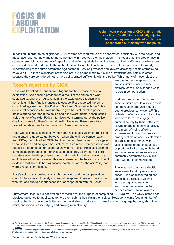## FOGUS ON<br>LABOUR<br>EXPLOITATION

**A significant proportion of CICA claims made by victims of trafficking are initially rejected because they are considered not to have collaborated sufficiently with the police.**

In addition, in order to be eligible for CICA, victims are required to have cooperated sufficiently with the police, and must have reported the crime to the authorities within two years of the incident. This requirement is problematic in cases where victims are fearful of reporting and suffering retaliation on the hands of their traffickers, or where they can provide limited evidence to the authorities due to mental health concerns or to their own lack of knowledge or understanding of the crime committed against them. Service providers and lawyers assisting victims of trafficking have told FLEX that a significant proportion of CICA claims made by victims of trafficking are initially rejected because they are considered not to have collaborated sufficiently with the police. While many of these rejections

## **Rose's rejection by CICA**

Rose was trafficked to London from Nigeria for the purpose of sexual exploitation. She became pregnant as a result of the abuse she was subjected to, and she had to remain in the exploitative situation with her child until they finally managed to escape. Rose reported the crime committed against her to the Police in Scotland. She met with the Police on several occasions, but was unable to give her statement to police officers due to her fear of the police and her severe mental health issues including risk of suicide. Police interviews were terminated by the police due to concerns for Rose's mental health. However, Rose's solicitors passed her statement to the police with Rose's permission.

Rose was ultimately identified by the Home Office as a victim of trafficking and granted refugee status. However, when she claimed compensation from CICA, the Police told CICA that they had not been able to investigate because Rose had not given her statement. As a result, compensation was refused on grounds of non-cooperation with the Police. Rose also claimed compensation on behalf of her child as a secondary victim, as her child had developed health problems due to being held in, and witnessing the exploitative situation. However, this was refused on the basis of insufficient evidence that the child had witnessed the abuse, or that the child's injuries were a result of the abuse.

Rose's solicitors appealed against this decision, and the compensation claim for Rose was ultimately successful on appeal. However, the amount was reduced due to her supposed lack of cooperation with the Police.

are overturned on appeal,<sup>25</sup> this causes victims unnecessary distress, as well as extended waits to obtain compensation.

Furthermore, under the current scheme victims could also see their compensation amounts reduced due to previous convictions.<sup>26</sup> This is likely to affect victims of trafficking who were forced to engage in criminal activity by their traffickers, or who engaged in criminal activity as a result of their trafficking experiences. Forced criminality among victims of labour exploitation in particular is common, with victims being forced to steal, beg or produce illicit drugs, while fraud and immigration offences are also commonly committed by victims, often without their knowledge.

The long wait to obtain a decision —between 1 and 3 years in most cases— is also discouraging and can cause distress to victims who are highly vulnerable and waiting to receive muchneeded compensation awards.<sup>27</sup>

Furthermore, legal aid is not available to victims for the purpose of completing CICA claims. The CICA instead has provided guidance for applicants to help them submit their claim themselves. However, victims face a number of practical barriers due to the limited support available to make such claims including language barriers, short time limits, and difficulties identifying and proving mental injury.

- 26 See Criminal Injuries Compensation Scheme 2012, available at: https://www.gov.uk/government/uploads/system/uploads/attachment\_data/file/243480/9780108512117.pdf.
- 27 Information received by FLEX from interviews with legal service providers.

<sup>25</sup> On 26 November 2015, in the case of *C v Criminal Injuries Compensation Authority*, the First Tier Tribunal found that barring a victim of trafficking from obtaining a CICA award on the basis of insufficient cooperation with a criminal investigation was contrary to EU legislation. For more information see: http://atleu.org.uk/cases/2015/12/11/c-v-criminal-injuries-compensationauthority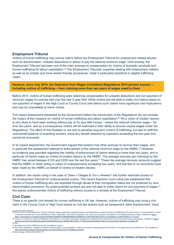#### **Employment Tribunal**

Victims of human trafficking may pursue claims before the Employment Tribunal for employment related abuses such as discrimination, unlawful deductions or failure to pay the national minimum wage. Until recently, the Employment Tribunal had been one of the main avenues to compensation for victims of domestic servitude and human trafficking for labour exploitation.<sup>28</sup> The Employment Tribunals' expertise dealing with employment matters, as well as its simpler and more worker-friendly procedures, made it particularly beneficial in eligible trafficking cases.

**However, since July 2014, the Deduction from Wages (Limitation) Regulations 2014 prevent anyone including victims of trafficking— from claiming more than two years of wages owed to them.** 

Before 2014, victims of human trafficking were obtaining compensation for unlawful deductions and non-payment of minimum wages for periods well over the new 2-year limit. While victims are still able to make civil claims based on non-payment of wages in the High Court or County Court (see below) such claims have significant cost implications and may be unavailable to some victims.

The impact assessment presented by the Government before the introduction of the Regulations did not consider the impact of this measure on victims of human trafficking and labour exploitation.29 Yet a victim of modern slavery is very likely to have been working without pay or for very little money —below the national minimum wage— for over two years, and as a consequence victims will be restricted in their ability to recover unpaid wages under the Regulations. The effect of this limitation is not only to penalize long term victims of trafficking, but also to shift the cost-benefit balance of exploiting workers, since any benefit obtained by exploiters exceeding the two-year limit cannot be recovered.

In its impact assessment, the Government argued that workers had other avenues to recover their wages, and in particular the assessment referred to enforcement of the national minimum wage by the HMRC.<sup>30</sup> However, no evidence was provided regarding the viability of enforcement of claims relating to more than two years, and in particular of claims made by victims of modern slavery by the HMRC. The average recovery per individual by the HMRC has varied between £125 and £228 over the last five years.<sup>31</sup> These low average recovery amounts suggest that the HMRC is rarely acting in cases of underpayments exceeding two years, and that few or no recoveries have been made by the HMRC on behalf of victims of modern slavery.

In addition, the recent ruling in the case of *Taiwo v Olaigbe* & *Onu v Akwiwu*32 has further restricted access to the Employment Tribunal for undocumented victims. This recent Supreme Court ruling has established that victims of human trafficking who are exploited through abuse of their immigration status are not protected by race discrimination provisions. As undocumented workers are also not able to make claims for non-payment of wages, 33 this leaves undocumented victims of trafficking without access to a remedy at the Employment Tribunal.

#### **Civil Claim**

There is no specific civil remedy for human trafficking in UK law. However, victims of trafficking may bring a civil claim in the County Court or High Court based on civil law actions such as harassment, false imprisonment, fraud,

- 29 There is no mention to victims of trafficking, forced labour or servitude in the impact assessment conducted by the Government. See Government Impact assessment, available at: https:// www.gov.uk/government/uploads/system/uploads/attachment\_data/file/389174/bis-14-1289-limiting-backdated-claims-for-unauthorised-deduction-of-wages.pdf.
- 30 Ibid.

33See *Hounga v Allen [2014] UKSC 47*.

<sup>28</sup> Until July 2014, the Employment Tribunals had been largely regarded by specialist lawyers and organisations supporting victims of trafficking as the best avenue to compensation for victims of domestic servitude and human trafficking for labour exploitation. See ATLEU response to the Low Pay Commission consultation on the National Minimum Wage, available at: https:// static1.squarespace.com/static/50a4ce70e4b06eecde889f12/t/56695d0b69a91a928ff957b0/1449745675991/ATLEU+Consultation+LIVING+WAGE+21.9.15.pdf.

<sup>31</sup> All data sourced from HMRC End of year Compliance reports..

<sup>32</sup> See *Taiwo (Appellant) v Olaigbe and another (Respondents)*; *Onu (Appellant) v Akwiwu and another (Respondents) [2016] UKSC 31* On appeal from [2014] EWCA Civ 279, available at: http://www.bailii.org/cgi-bin/format.cgi?doc=/uk/cases/UKSC/2016/31.html&query=(taiwo).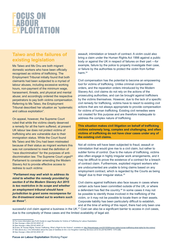# FOCUS ON<br>LABOUR<br>EXPLOITATION

## **Taiwo and the failures of existing legislation**

Ms Taiwo and Ms Onu are both migrant domestic workers who have been officially recognised as victims of trafficking. The Employment Tribunal initially found that both claimants had been subjected to a myriad of labour abuses, including excessive working hours, non-payment of the minimum wage, harassment, threats, and physical and mental abuse; and accordingly ordered the respective perpetrators to pay both victims compensation. Referring to Ms Taiwo, the Employment Tribunal described her situation as "systematic and callous exploitation".

On appeal, however, the Supreme Court ruled that while the victims clearly deserved a remedy for all the harm suffered, at present UK labour law does not protect victims of trafficking who are vulnerable due to their immigration status. While the Court found Ms Taiwo and Ms Onu had been mistreated because of their status as migrant workers this was not considered to meet the definition of "race discrimination" for the purposes of antidiscrimination law. The Supreme Court urged<sup>38</sup> Parliament to consider amending the Modern Slavery Act to provide effective access to redress to such victims:

*"Parliament may well wish to address its mind to whether the remedy provided by section 8 of the Modern Slavery Act 2015 is too restrictive in its scope and whether an employment tribunal should have jurisdiction to grant some recompense for the ill-treatment meted out to workers such as these".*

assault, intimidation or breach of contract. A victim could also bring a claim under the Human Rights Act 1998 against a public body or against the UK in respect of failures on their part —for example, failure by the police to properly investigate their case, or failure by the authorities to protect the victim from further harm 34

Civil compensation has the potential to become an empowering tool for victims of trafficking. Unlike criminal compensation orders, and the reparation orders introduced by the Modern Slavery Act, civil claims do not rely on the actions of the prosecuting authorities, and can be brought against traffickers by the victims themselves. However, due to the lack of a specific civil remedy for trafficking, victims have to resort to existing civil actions that are not always appropriate to provide compensation for victims of human trafficking. Existing civil remedies were not created for this purpose and are therefore inadequate to address the complex nature of trafficking.

**This situation makes civil litigation on behalf of trafficking victims extremely long, complex and challenging, and often victims of trafficking do not have clear cases under any of the existing civil claims.** 

Not all victims will have been subjected to fraud, assault or intimidation that would give rise to a civil claim, but rather to subtler forms of control. Due to the nature of trafficking, victims also often engage in highly irregular work arrangements, and it may be difficult to prove the existence of a contract for a breach of contract claim. Furthermore, exploited migrant workers who are undocumented are unable to bring claims based on any employment contract, which is regarded by the Courts as being 'illegal' due to their irregular status.<sup>35</sup>

Civil claims against traffickers also face issues in cases where certain acts have been committed outside of the UK, or where a defendant has fled the country.<sup>36</sup> In some cases it may not be possible to identify those involved in the trafficking of the victim, or it may not be possible to locate them or their assets. Corporate liability has been particularly difficult to establish, and at the time of writing of this report, there had only been one

successful civil claim against a business in the UK.<sup>37</sup> Cost can also be a significant barrier to access in civil cases, due to the complexity of these cases and the limited availability of legal aid.

38 See *Hounga v Allen [2014] UKSC 47*.

<sup>34</sup> For more information see FLEX Guide to Legal Remedies for Victims of Trafficking for Labour Exploitation.

<sup>35</sup> See *Hounga v Allen [2014] UKSC 47*.

<sup>35</sup> See *Hounga v Allen [2014] UKSC 47*.

<sup>36</sup> Evans, M. Human Rights, Human Trafficking, What´s Right for the Victims?, available at: http://thejusticegap.com/2015/09/human-rights-human-trafficking-what-rights-for-the-victims/. 37 See above at p. 2 for information about the case of *Galdikas & Ors v DJ Houghton Catching Services Ltd & Ors [2016] EWHC 1376 (QB)*.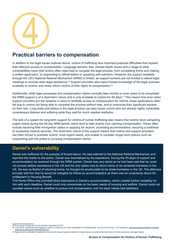

## **Practical barriers to compensation**

In addition to the legal issues outlined above, victims of trafficking face important practical difficulties that impede their effective access to compensation. Language barriers, fear, mental health issues and a range of other vulnerabilities mean that victims often need help to navigate the legal process, from completing forms and making a written application, to responding to official letters or speaking with solicitors. However, the support available through the UK's National Referral Mechanism (NRM) is limited, as support workers are not funded to attend legal meetings or provide other legal assistance.<sup>39</sup> Support providers also report limited knowledge of the legal avenues available to victims, and rarely inform victims of their rights to compensation.40

Additionally, while legal processes and compensation claims normally take months or even years to be completed, the NRM support is of a short-term nature and is only available to victims for 45 days.<sup>41</sup> This means that even when support providers put the systems in place to facilitate access to compensation for victims, these applications often fail due to victims not being able to complete the process without help, and to overcome their significant barriers on their own. Long waits and delays in the legal process can also cause victims who are already highly vulnerable, unnecessary distress and suffering while they wait for much needed restitution.

The lack of a system for long-term support for victims of human trafficking also means that victims have competing urgent needs during the 45-day NRM period, which tend to take priority over claiming compensation. These often include resolving their immigration status or applying for asylum, accessing accommodation, securing a livelihood or accessing medical services. The short-term nature of the support means that victims and support providers are often forced to prioritise victims' most urgent needs, and unable to consider longer-term options such as cooperating with the police or pursuing compensation claims.

### **Daniel's vulnerability**

Daniel was trafficked for the purpose of forced labour. He was referred to the National Referral Mechanism and reported the matter to the police. Daniel was traumatised by his experience. During the 45-days of support and accommodation he received through the NRM system, Daniel was very afraid as he had been told that he could not access welfare assistance in the UK and his only option was to return home or be rendered homeless in the UK. He was so fearful of returning home, he thought he would prefer to be street homeless in the UK. The aftercare provider told him that he would be ineligible for follow-on accommodation as there was an uncertainty about his entitlement to Housing Benefit.

The Home Office only provided short extensions to Daniel's accommodation, which created further instability for him with each deadline. Daniel could only concentrate on his basic needs of housing and welfare. Daniel could not consider issues such as whether to pursue civil compensation until his basic needs had stabilised.

default/files/publications/FINALREPORT.pdf.<br>41 Support can be extended on application, however the range of support available for longer periods is usually limited and does not include assistance with legal matters.

<sup>39</sup> Focus group of legal and service providers organised by FLEX.

<sup>40</sup> FLEX, 2015. Identification and Support of Victims of Trafficking for Labour Exploitation in the Netherlands, the UK and Romania. p. 35. Available at: http://www.labourexploitation.org/sites/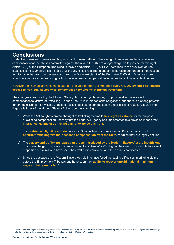

### **Conclusions**

Under European and international law, victims of human trafficking have a right to receive free legal advice and compensation for the abuses committed against them, and the UK has a legal obligation to provide for this right. Article 12(2) of the European Trafficking Directive and Article 15(2) of ECAT both require the provision of free legal assistance. Under Article 15 of ECAT the UK is also required to adopt measures to guarantee compensation for victims, either from the perpetrator or from the State. Article 17 of the European Trafficking Directive more specifically requires that trafficking victims have access to compensation schemes for victims of violent crimes.

However the findings above demonstrate that one year on from the Modern Slavery Act, **UK law does not ensure access to free legal advice or to compensation for victims of human trafficking.** 

The changes introduced by the Modern Slavery Act did not go far enough to provide effective access to compensation to victims of trafficking. As such, the UK is in breach of its obligations, and there is a strong potential for strategic litigation for victims unable to access legal aid or compensation under existing routes. Relevant and litigable failures of the Modern Slavery Act include the following:

- a) While the Act sought to protect the right of trafficking victims to **free legal assistance** for the purpose of claiming compensation, the way that the Legal Aid Agency has implemented this provision means that **in practice victims of trafficking cannot exercise this right.**
- b) The **restrictive eligibility criteria** under the Criminal Injuries Compensation Scheme continues to **obstruct trafficking victims' access to compensation from the State,** to which they are legally entitled.
- c) The **slavery and trafficking reparation orders introduced by the Modern Slavery Act are insufficient** to address the gap in access to compensation for victims of trafficking, as they are only available to a small proportion of victims who have seen their traffickers convicted, and their assets confiscated.
- d) Since the passage of the Modern Slavery Act, victims have faced increasing difficulties in bringing claims before the Employment Tribunals and have seen their **ability to recover unpaid national minimum wages unfairly restricted.** 42

<sup>42</sup> The Deduction from Wages (Limitation) Regulations entered into force on the 8<sup>th</sup> of January 2015, with a transitional period lasting until the 1<sup>st</sup> of July 2015, meaning that any claims brought after the 1<sup>st</sup> of July will have been affected by the 2-year backstop on National Minimum Wage claims.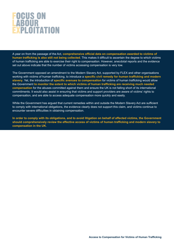## FOCUS ON<br>LABOUR<br>EXPLOITATION

A year on from the passage of the Act, **comprehensive official data on compensation awarded to victims of human trafficking is also still not being collected**. This makes it difficult to ascertain the degree to which victims of human trafficking are able to exercise their right to compensation. However, anecdotal reports and the evidence set out above indicate that the number of victims accessing compensation is very low.

The Government opposed an amendment to the Modern Slavery Act, supported by FLEX and other organisations working with victims of human trafficking, to introduce a **specific civil remedy for human trafficking and modern slavery**. Yet, the introduction of **specific avenues to compensation** for victims of human trafficking would allow the Government **to monitor the extent to which victims of human trafficking are receiving much needed compensation** for the abuses committed against them and ensure the UK is not falling short of its international commitments. It would also assist in ensuring that victims and support providers are aware of victims' rights to compensation, and are able to access adequate compensation more quickly and easily.

While the Government has argued that current remedies within and outside the Modern Slavery Act are sufficient to comply with international obligations, the evidence clearly does not support this claim, and victims continue to encounter severe difficulties in obtaining compensation.

**In order to comply with its obligations, and to avoid litigation on behalf of affected victims, the Government should comprehensively review the effective access of victims of human trafficking and modern slavery to compensation in the UK.**